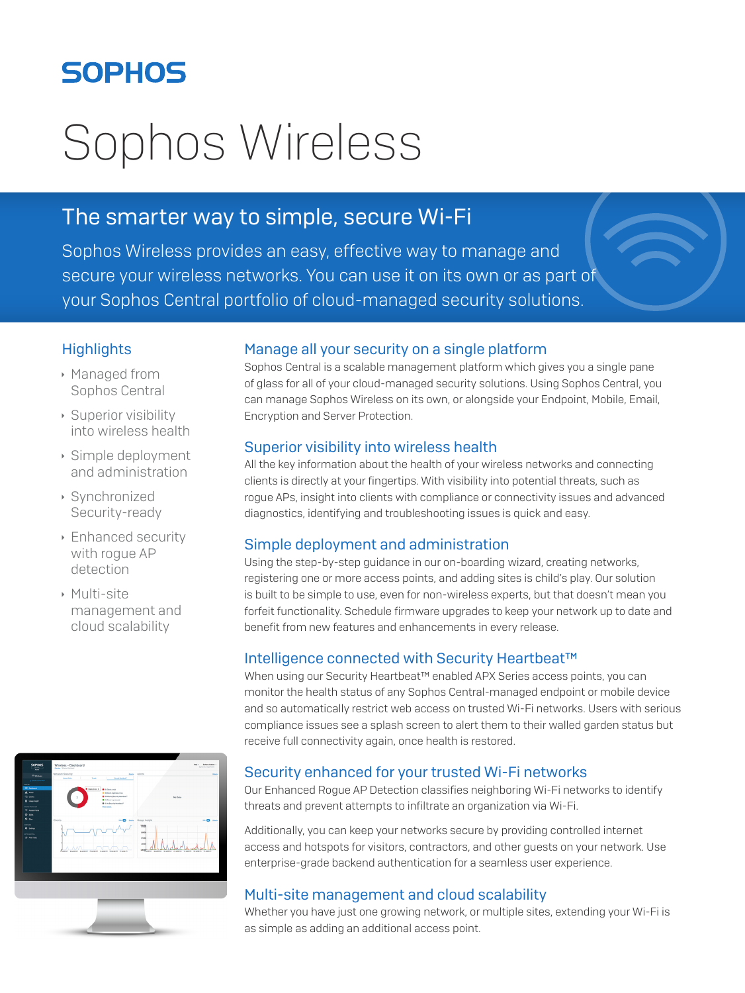## **SOPHOS**

# Sophos Wireless

### The smarter way to simple, secure Wi-Fi

Sophos Wireless provides an easy, effective way to manage and secure your wireless networks. You can use it on its own or as part of your Sophos Central portfolio of cloud-managed security solutions.

#### **Highlights**

- **Managed from** Sophos Central
- $\rightarrow$  Superior visibility into wireless health
- $\rightarrow$  Simple deployment and administration
- $\rightarrow$  Synchronized Security-ready
- **Enhanced security** with rogue AP detection
- $\triangleright$  Multi-site management and cloud scalability



#### Manage all your security on a single platform

Sophos Central is a scalable management platform which gives you a single pane of glass for all of your cloud-managed security solutions. Using Sophos Central, you can manage Sophos Wireless on its own, or alongside your Endpoint, Mobile, Email, Encryption and Server Protection.

#### Superior visibility into wireless health

All the key information about the health of your wireless networks and connecting clients is directly at your fingertips. With visibility into potential threats, such as rogue APs, insight into clients with compliance or connectivity issues and advanced diagnostics, identifying and troubleshooting issues is quick and easy.

#### Simple deployment and administration

Using the step-by-step guidance in our on-boarding wizard, creating networks, registering one or more access points, and adding sites is child's play. Our solution is built to be simple to use, even for non-wireless experts, but that doesn't mean you forfeit functionality. Schedule firmware upgrades to keep your network up to date and benefit from new features and enhancements in every release.

#### Intelligence connected with Security Heartbeat™

When using our Security Heartbeat™ enabled APX Series access points, you can monitor the health status of any Sophos Central-managed endpoint or mobile device and so automatically restrict web access on trusted Wi-Fi networks. Users with serious compliance issues see a splash screen to alert them to their walled garden status but receive full connectivity again, once health is restored.

#### Security enhanced for your trusted Wi-Fi networks

Our Enhanced Rogue AP Detection classifies neighboring Wi-Fi networks to identify threats and prevent attempts to infiltrate an organization via Wi-Fi.

Additionally, you can keep your networks secure by providing controlled internet access and hotspots for visitors, contractors, and other guests on your network. Use enterprise-grade backend authentication for a seamless user experience.

#### Multi-site management and cloud scalability

Whether you have just one growing network, or multiple sites, extending your Wi-Fi is as simple as adding an additional access point.